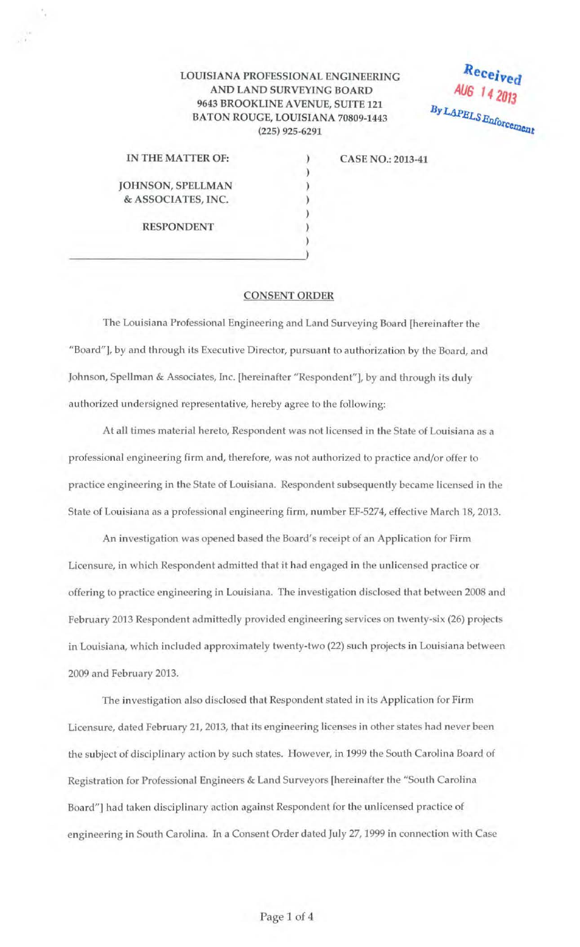## LOUISIANA PROFESSIONAL ENGINEERING AND LAND SURVEYING BOARD 9643 BROOKLINE A VENUE, SUITE 121 BATON ROUGE, LOUISIANA 70809-1443 (225) 925-6291

) ) ) ) ) ) )

Received AUG 14 2013 By LAPELS Enforcement

| IN THE MATTER OF:        |
|--------------------------|
| <b>JOHNSON, SPELLMAN</b> |
| & ASSOCIATES, INC.       |
| <b>RESPONDENT</b>        |

--------------------------------~>

CASE NO.: 2013-41

## CONSENT ORDER

The Louisiana Professional Engineering and Land Surveying Board [hereinafter the "Board"], by and through its Executive Director, pursuant to authorization by the Board, and Johnson, Spellman & Associates, Inc. [hereinafter "Respondent"], by and through its duly authorized undersigned representative, hereby agree to the following:

At all times material hereto, Respondent was not licensed in the State of Louisiana as a professional engineering firm and, therefore, was not authorized to practice and/or offer to practice engineering in the State of Louisiana. Respondent subsequently became licensed in the State of Louisiana as a professional engineering firm, number EF-5274, effective March 18, 2013.

An investigation was opened based the Board's receipt of an Application for Firm Licensure, in which Respondent admitted that it had engaged in the unlicensed practice or offering to practice engineering in Louisiana. The investigation disclosed that between 2008 and February 2013 Respondent admittedly provided engineering services on twenty-six (26) projects in Louisiana, which included approximately twenty-two (22) such projects in Louisiana between 2009 and February 2013.

The investigation also disclosed that Respondent stated in its Application for Firm Licensure, dated February 21, 2013, that its engineering licenses in other states had never been the subject of disciplinary action by such states. However, in 1999 the South Carolina Board of Registration for Professional Engineers & Land Surveyors [hereinafter the "South Carolina Board"] had taken disciplinary action against Respondent for the unlicensed practice of engineering in South Carolina. In a Consent Order dated July 27, 1999 in connection with Case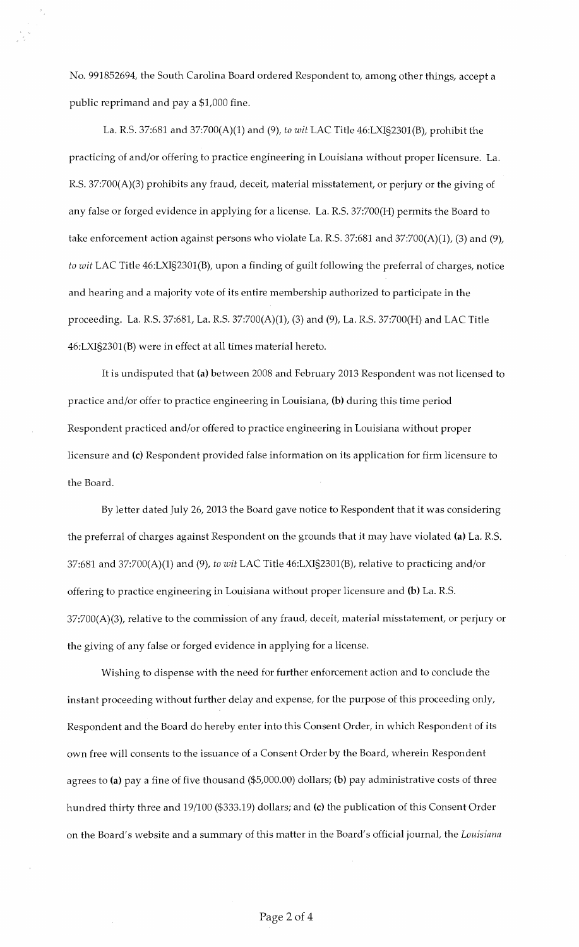No. 991852694, the South Carolina Board ordered Respondent to, among other things, accept a public reprimand and pay a \$1,000 fine.

La. R.S. 37:681 and 37:700(A)(1) and (9), *to wit* LAC Title 46:LXI§2301(B), prohibit the practicing of and/or offering to practice engineering in Louisiana without proper licensure. La. R.S. 37:700(A)(3) prohibits any fraud, deceit, material misstatement, or perjury or the giving of any false or forged evidence in applying for a license. La. R.S. 37:700(H) permits the Board to take enforcement action against persons who violate La. R.S. 37:681 and 37:700(A)(1), (3) and (9), *to wit* LAC Title 46:LXI§2301(B), upon a finding of guilt following the preferral of charges, notice and hearing and a majority vote of its entire membership authorized to participate in the proceeding. La. R.S. 37:681, La. R.S. 37:700(A)(1), (3) and (9), La. R.S. 37:700(H) and LAC Title 46:LXI§2301(B) were in effect at all times material hereto.

It is undisputed that **(a)** between 2008 and February 2013 Respondent was not licensed to practice and/or offer to practice engineering in Louisiana, **(b)** during this time period Respondent practiced and/or offered to practice engineering in Louisiana without proper licensure and (c) Respondent provided false information on its application for firm licensure to the Board.

By letter dated July 26, 2013 the Board gave notice to Respondent that it was considering the preferral of charges against Respondent on the grounds that it may have violated **(a)** La. R.S. 37:681 and 37:700(A)(1) and (9), *to wit* LAC Title 46:LXI§2301(B), relative to practicing and/or offering to practice engineering in Louisiana without proper licensure and **(b)** La. R.S. 37:700(A)(3), relative to the commission of any fraud, deceit, material misstatement, or perjury or the giving of any false or forged evidence in applying for a license.

Wishing to dispense with the need for further enforcement action and to conclude the instant proceeding without further delay and expense, for the purpose of this proceeding only, Respondent and the Board do hereby enter into this Consent Order, in which Respondent of its own free will consents to the issuance of a Consent Order by the Board, wherein Respondent agrees to **(a)** pay a fine of five thousand (\$5,000.00) dollars; **(b)** pay administrative costs of three hundred thirty three and 19/100 (\$333.19) dollars; and (c) the publication of this Consent Order on the Board's website and a summary of this matter in the Board's official journal, the *Louisiana*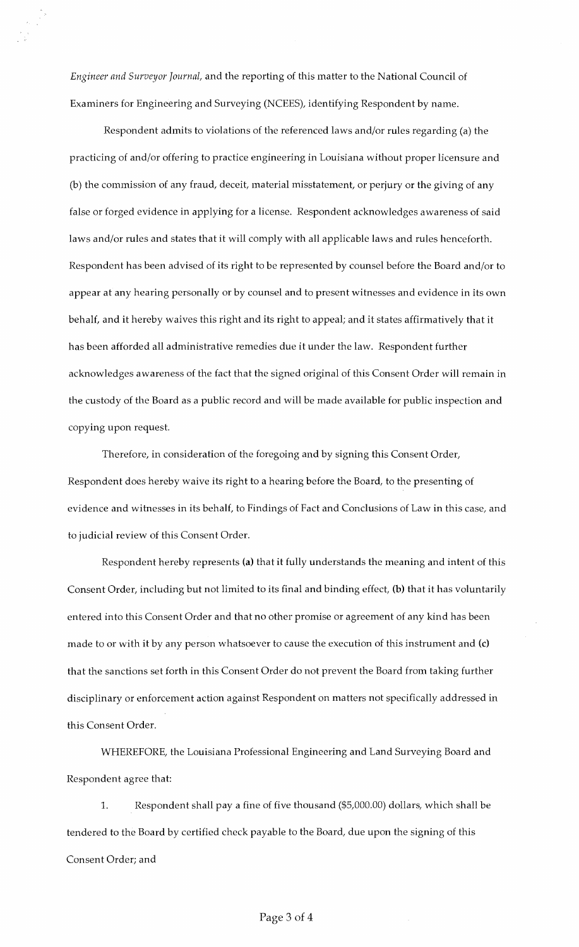*Engineer and Surveyor Journal,* and the reporting of this matter to the National Council of Examiners for Engineering and Surveying (NCEES), identifying Respondent by name.

Respondent admits to violations of the referenced laws and/or rules regarding (a) the practicing of and/or offering to practice engineering in Louisiana without proper licensure and (b) the commission of any fraud, deceit, material misstatement, or perjury or the giving of any false or forged evidence in applying for a license. Respondent acknowledges awareness of said laws and/or rules and states that it will comply with all applicable laws and rules henceforth. Respondent has been advised of its right to be represented by counsel before the Board and/or to appear at any hearing personally or by counsel and to present witnesses and evidence in its own behalf, and it hereby waives this right and its right to appeal; and it states affirmatively that it has been afforded all administrative remedies due it under the law. Respondent further acknowledges awareness of the fact that the signed original of this Consent Order will remain in the custody of the Board as a public record and will be made available for public inspection and copying upon request.

Therefore, in consideration of the foregoing and by signing this Consent Order, Respondent does hereby waive its right to a hearing before the Board, to the presenting of evidence and witnesses in its behalf, to Findings of Fact and Conclusions of Law in this case, and to judicial review of this Consent Order.

Respondent hereby represents (a) that it fully understands the meaning and intent of this Consent Order, including but not limited to its final and binding effect, (b) that it has voluntarily entered into this Consent Order and that no other promise or agreement of any kind has been made to or with it by any person whatsoever to cause the execution of this instrument and (c) that the sanctions set forth in this Consent Order do not prevent the Board from taking further disciplinary or enforcement action against Respondent on matters not specifically addressed in this Consent Order.

WHEREFORE, the Louisiana Professional Engineering and Land Surveying Board and Respondent agree that:

1. Respondent shall pay a fine of five thousand (\$5,000.00) dollars, which shall be tendered to the Board by certified check payable to the Board, due upon the signing of this Consent Order; and